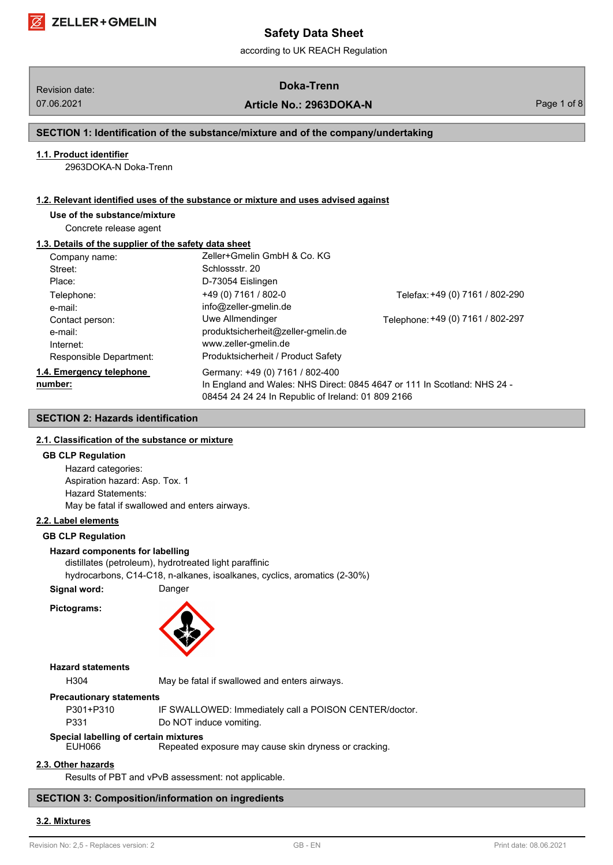# Revision date: **Doka-Trenn**

07.06.2021 **Article No.: 2963DOKA-N** Page 1 of 8

# **SECTION 1: Identification of the substance/mixture and of the company/undertaking**

#### **1.1. Product identifier**

2963DOKA-N Doka-Trenn

#### **1.2. Relevant identified uses of the substance or mixture and uses advised against**

# **Use of the substance/mixture**

Concrete release agent

# **1.3. Details of the supplier of the safety data sheet**

| Company name:            | Zeller+Gmelin GmbH & Co. KG                        |                                                                          |
|--------------------------|----------------------------------------------------|--------------------------------------------------------------------------|
| Street:                  | Schlossstr, 20                                     |                                                                          |
| Place:                   | D-73054 Eislingen                                  |                                                                          |
| Telephone:               | +49 (0) 7161 / 802-0                               | Telefax: +49 (0) 7161 / 802-290                                          |
| e-mail:                  | info@zeller-gmelin.de                              |                                                                          |
| Contact person:          | Uwe Allmendinger                                   | Telephone: +49 (0) 7161 / 802-297                                        |
| e-mail:                  | produktsicherheit@zeller-gmelin.de                 |                                                                          |
| Internet:                | www.zeller-gmelin.de                               |                                                                          |
| Responsible Department:  | Produktsicherheit / Product Safety                 |                                                                          |
| 1.4. Emergency telephone | Germany: +49 (0) 7161 / 802-400                    |                                                                          |
| number:                  |                                                    | In England and Wales: NHS Direct: 0845 4647 or 111 In Scotland: NHS 24 - |
|                          | 08454 24 24 24 In Republic of Ireland: 01 809 2166 |                                                                          |

# **SECTION 2: Hazards identification**

# **2.1. Classification of the substance or mixture**

#### **GB CLP Regulation**

Hazard categories: Aspiration hazard: Asp. Tox. 1 Hazard Statements: May be fatal if swallowed and enters airways.

#### **2.2. Label elements**

#### **GB CLP Regulation**

#### **Hazard components for labelling**

distillates (petroleum), hydrotreated light paraffinic hydrocarbons, C14-C18, n-alkanes, isoalkanes, cyclics, aromatics (2-30%) **Signal word:** Danger





# **Hazard statements**

H304 May be fatal if swallowed and enters airways.

#### **Precautionary statements**

| P301+P310 | IF SWALLOWED: Immediately call a POISON CENTER/doctor. |
|-----------|--------------------------------------------------------|
| P331      | Do NOT induce vomiting.                                |

# **Special labelling of certain mixtures**

Repeated exposure may cause skin dryness or cracking.

### **2.3. Other hazards**

Results of PBT and vPvB assessment: not applicable.

# **SECTION 3: Composition/information on ingredients**

#### **3.2. Mixtures**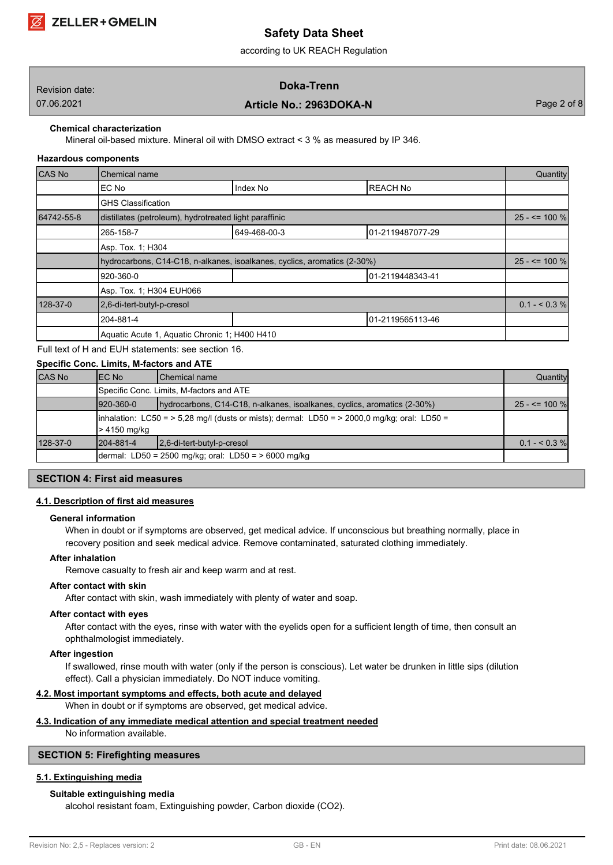

according to UK REACH Regulation

| Revision date: | Doka-Trenn              |             |
|----------------|-------------------------|-------------|
| 07.06.2021     | Article No.: 2963DOKA-N | Page 2 of 8 |

### **Chemical characterization**

Mineral oil-based mixture. Mineral oil with DMSO extract < 3 % as measured by IP 346.

#### **Hazardous components**

| <b>CAS No</b> | Chemical name                                                            |              |                  |                   |  |
|---------------|--------------------------------------------------------------------------|--------------|------------------|-------------------|--|
|               | EC No                                                                    | Index No     | <b>REACH No</b>  |                   |  |
|               | <b>GHS Classification</b>                                                |              |                  |                   |  |
| 64742-55-8    | distillates (petroleum), hydrotreated light paraffinic                   |              |                  | $25 - 5 = 100 \%$ |  |
|               | 265-158-7                                                                | 649-468-00-3 | 01-2119487077-29 |                   |  |
|               | Asp. Tox. 1; H304                                                        |              |                  |                   |  |
|               | hydrocarbons, C14-C18, n-alkanes, isoalkanes, cyclics, aromatics (2-30%) |              |                  | $25 - 5 = 100 \%$ |  |
|               | 920-360-0<br>01-2119448343-41                                            |              |                  |                   |  |
|               | Asp. Tox. 1: H304 EUH066                                                 |              |                  |                   |  |
| 128-37-0      | 2,6-di-tert-butyl-p-cresol                                               |              |                  | $0.1 - 5.3\%$     |  |
|               | 204-881-4                                                                |              | 01-2119565113-46 |                   |  |
|               | Aquatic Acute 1, Aquatic Chronic 1; H400 H410                            |              |                  |                   |  |

Full text of H and EUH statements: see section 16.

# **Specific Conc. Limits, M-factors and ATE**

| <b>CAS No</b> | IEC No                                                                                                                 | <b>IChemical name</b>                                                    | Quantity       |  |  |
|---------------|------------------------------------------------------------------------------------------------------------------------|--------------------------------------------------------------------------|----------------|--|--|
|               | Specific Conc. Limits, M-factors and ATE                                                                               |                                                                          |                |  |  |
|               | $1920 - 360 - 0$                                                                                                       | hydrocarbons, C14-C18, n-alkanes, isoalkanes, cyclics, aromatics (2-30%) |                |  |  |
|               | $\lambda$ inhalation: LC50 = > 5,28 mg/l (dusts or mists); dermal: LD50 = > 2000,0 mg/kg; oral: LD50 =<br>> 4150 mg/kg |                                                                          |                |  |  |
| 128-37-0      | 1204-881-4                                                                                                             | 12,6-di-tert-butyl-p-cresol                                              | $0.1 - 0.3 \%$ |  |  |
|               | dermal: LD50 = 2500 mg/kg; oral: LD50 = > 6000 mg/kg                                                                   |                                                                          |                |  |  |

#### **SECTION 4: First aid measures**

#### **4.1. Description of first aid measures**

#### **General information**

When in doubt or if symptoms are observed, get medical advice. If unconscious but breathing normally, place in recovery position and seek medical advice. Remove contaminated, saturated clothing immediately.

# **After inhalation**

Remove casualty to fresh air and keep warm and at rest.

# **After contact with skin**

After contact with skin, wash immediately with plenty of water and soap.

#### **After contact with eyes**

After contact with the eyes, rinse with water with the eyelids open for a sufficient length of time, then consult an ophthalmologist immediately.

#### **After ingestion**

If swallowed, rinse mouth with water (only if the person is conscious). Let water be drunken in little sips (dilution effect). Call a physician immediately. Do NOT induce vomiting.

# **4.2. Most important symptoms and effects, both acute and delayed**

When in doubt or if symptoms are observed, get medical advice.

# **4.3. Indication of any immediate medical attention and special treatment needed**

No information available.

# **SECTION 5: Firefighting measures**

# **5.1. Extinguishing media**

# **Suitable extinguishing media**

alcohol resistant foam, Extinguishing powder, Carbon dioxide (CO2).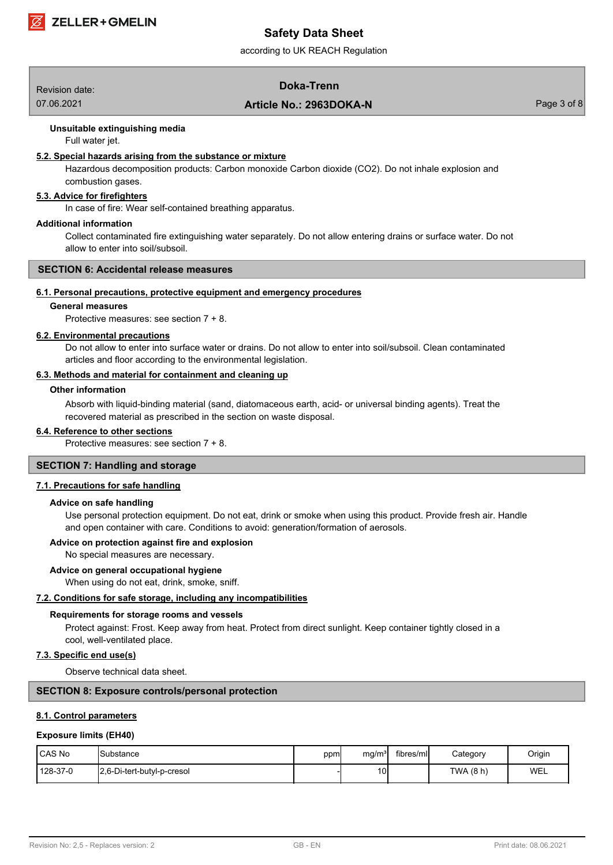

according to UK REACH Regulation

# Revision date: **Doka-Trenn**

# 07.06.2021 **Article No.: 2963DOKA-N** Page 3 of 8

#### **Unsuitable extinguishing media**

Full water jet.

#### **5.2. Special hazards arising from the substance or mixture**

Hazardous decomposition products: Carbon monoxide Carbon dioxide (CO2). Do not inhale explosion and combustion gases.

### **5.3. Advice for firefighters**

In case of fire: Wear self-contained breathing apparatus.

#### **Additional information**

Collect contaminated fire extinguishing water separately. Do not allow entering drains or surface water. Do not allow to enter into soil/subsoil.

#### **SECTION 6: Accidental release measures**

#### **6.1. Personal precautions, protective equipment and emergency procedures**

#### **General measures**

Protective measures: see section 7 + 8.

#### **6.2. Environmental precautions**

Do not allow to enter into surface water or drains. Do not allow to enter into soil/subsoil. Clean contaminated articles and floor according to the environmental legislation.

#### **6.3. Methods and material for containment and cleaning up**

#### **Other information**

Absorb with liquid-binding material (sand, diatomaceous earth, acid- or universal binding agents). Treat the recovered material as prescribed in the section on waste disposal.

#### **6.4. Reference to other sections**

Protective measures: see section 7 + 8.

# **SECTION 7: Handling and storage**

#### **7.1. Precautions for safe handling**

#### **Advice on safe handling**

Use personal protection equipment. Do not eat, drink or smoke when using this product. Provide fresh air. Handle and open container with care. Conditions to avoid: generation/formation of aerosols.

#### **Advice on protection against fire and explosion**

No special measures are necessary.

# **Advice on general occupational hygiene**

When using do not eat, drink, smoke, sniff.

#### **7.2. Conditions for safe storage, including any incompatibilities**

#### **Requirements for storage rooms and vessels**

Protect against: Frost. Keep away from heat. Protect from direct sunlight. Keep container tightly closed in a cool, well-ventilated place.

# **7.3. Specific end use(s)**

Observe technical data sheet.

#### **SECTION 8: Exposure controls/personal protection**

#### **8.1. Control parameters**

#### **Exposure limits (EH40)**

| CAS No   | <b>I</b> Substance         | ppml | mq/m <sup>3</sup> | tibres/mll | Category  | Origin |
|----------|----------------------------|------|-------------------|------------|-----------|--------|
| 128-37-0 | 2.6-Di-tert-butyl-p-cresol |      | 10 <sub>1</sub>   |            | TWA (8 h) | WEL    |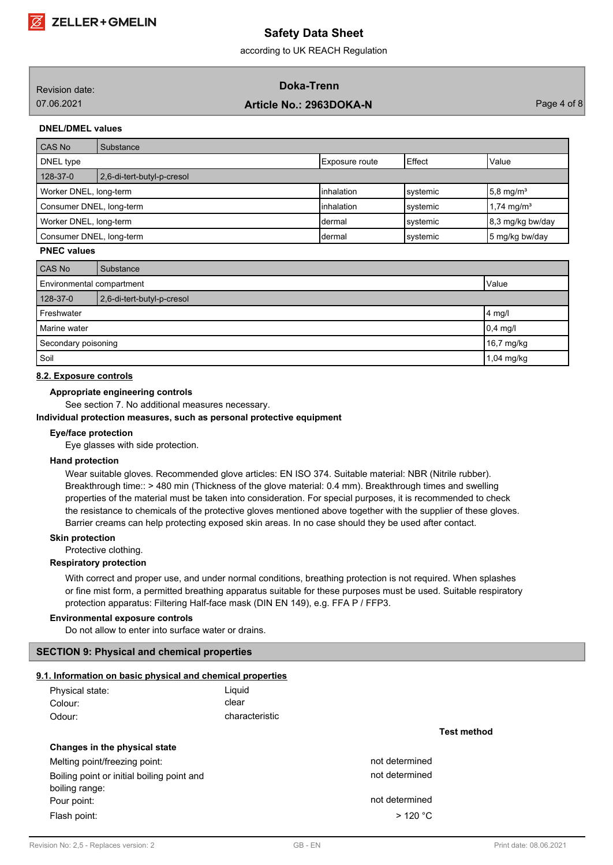according to UK REACH Regulation

| Revision date: | Doka-Trenn              |               |
|----------------|-------------------------|---------------|
| 07.06.2021     | Article No.: 2963DOKA-N | Page 4 of $8$ |
|                |                         |               |

# **DNEL/DMEL values**

| CAS No                                                                    | Substance                  |                |          |                          |
|---------------------------------------------------------------------------|----------------------------|----------------|----------|--------------------------|
| DNEL type                                                                 |                            | Exposure route | Effect   | Value                    |
| 128-37-0                                                                  | 2,6-di-tert-butyl-p-cresol |                |          |                          |
| linhalation<br>Worker DNEL, long-term<br>$5,8 \text{ mg/m}^3$<br>systemic |                            |                |          |                          |
| Consumer DNEL, long-term                                                  |                            | linhalation    | systemic | $1.74$ mg/m <sup>3</sup> |
| Worker DNEL, long-term                                                    |                            | Idermal        | systemic | 8,3 mg/kg bw/day         |
| Consumer DNEL, long-term<br>5 mg/kg bw/day<br>systemic<br>Idermal         |                            |                |          |                          |

### **PNEC values**

| CAS No                                 | Substance        |            |  |
|----------------------------------------|------------------|------------|--|
| Environmental compartment<br>Value     |                  |            |  |
| 128-37-0<br>2,6-di-tert-butyl-p-cresol |                  |            |  |
| Freshwater                             | $ 4 \text{ mg}/$ |            |  |
| Marine water                           | $0,4$ mg/l       |            |  |
| Secondary poisoning                    |                  | 16,7 mg/kg |  |
| Soil                                   |                  | 1,04 mg/kg |  |

#### **8.2. Exposure controls**

#### **Appropriate engineering controls**

See section 7. No additional measures necessary.

#### **Individual protection measures, such as personal protective equipment**

#### **Eye/face protection**

Eye glasses with side protection.

# **Hand protection**

Wear suitable gloves. Recommended glove articles: EN ISO 374. Suitable material: NBR (Nitrile rubber). Breakthrough time:: > 480 min (Thickness of the glove material: 0.4 mm). Breakthrough times and swelling properties of the material must be taken into consideration. For special purposes, it is recommended to check the resistance to chemicals of the protective gloves mentioned above together with the supplier of these gloves. Barrier creams can help protecting exposed skin areas. In no case should they be used after contact.

#### **Skin protection**

Protective clothing.

#### **Respiratory protection**

With correct and proper use, and under normal conditions, breathing protection is not required. When splashes or fine mist form, a permitted breathing apparatus suitable for these purposes must be used. Suitable respiratory protection apparatus: Filtering Half-face mask (DIN EN 149), e.g. FFA P / FFP3.

### **Environmental exposure controls**

Do not allow to enter into surface water or drains.

# **SECTION 9: Physical and chemical properties**

#### **9.1. Information on basic physical and chemical properties**

| Physical state: | Liquid         |
|-----------------|----------------|
| Colour:         | clear          |
| Odour:          | characteristic |

# **Changes in the physical state**

Melting point/freezing point: not determined Boiling point or initial boiling point and not determined boiling range: Pour point: not determined Flash point:  $> 120 °C$ 

**Test method**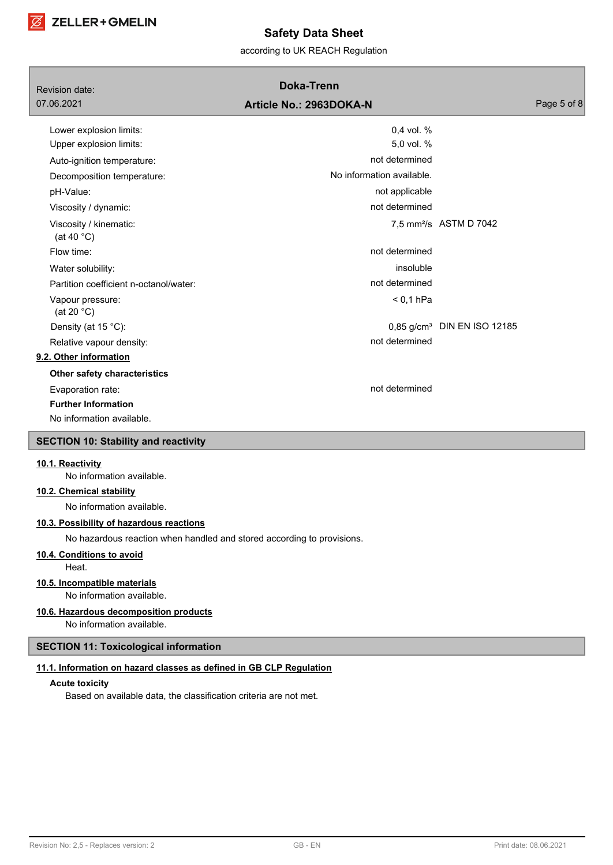

according to UK REACH Regulation

| Revision date:                                                         | <b>Doka-Trenn</b>         |                                         |
|------------------------------------------------------------------------|---------------------------|-----------------------------------------|
| 07.06.2021                                                             | Article No.: 2963DOKA-N   | Page 5 of 8                             |
| Lower explosion limits:                                                | 0,4 vol. %                |                                         |
| Upper explosion limits:                                                | 5,0 vol. %                |                                         |
| Auto-ignition temperature:                                             | not determined            |                                         |
| Decomposition temperature:                                             | No information available. |                                         |
| pH-Value:                                                              | not applicable            |                                         |
| Viscosity / dynamic:                                                   | not determined            |                                         |
| Viscosity / kinematic:<br>(at 40 $^{\circ}$ C)                         |                           | 7,5 mm <sup>2</sup> /s ASTM D 7042      |
| Flow time:                                                             | not determined            |                                         |
| Water solubility:                                                      | insoluble                 |                                         |
| Partition coefficient n-octanol/water:                                 | not determined            |                                         |
| Vapour pressure:<br>(at 20 $°C$ )                                      | $< 0.1$ hPa               |                                         |
| Density (at 15 °C):                                                    |                           | 0,85 g/cm <sup>3</sup> DIN EN ISO 12185 |
| Relative vapour density:                                               | not determined            |                                         |
| 9.2. Other information                                                 |                           |                                         |
| Other safety characteristics                                           |                           |                                         |
| Evaporation rate:                                                      | not determined            |                                         |
| <b>Further Information</b>                                             |                           |                                         |
| No information available.                                              |                           |                                         |
| <b>SECTION 10: Stability and reactivity</b>                            |                           |                                         |
| 10.1. Reactivity<br>No information available.                          |                           |                                         |
| 10.2. Chemical stability                                               |                           |                                         |
| No information available.                                              |                           |                                         |
| 10.3. Possibility of hazardous reactions                               |                           |                                         |
| No hazardous reaction when handled and stored according to provisions. |                           |                                         |
| 10.4. Conditions to avoid                                              |                           |                                         |

Heat.

### **10.5. Incompatible materials**

No information available.

# **10.6. Hazardous decomposition products**

No information available.

# **SECTION 11: Toxicological information**

# **11.1. Information on hazard classes as defined in GB CLP Regulation**

# **Acute toxicity**

Based on available data, the classification criteria are not met.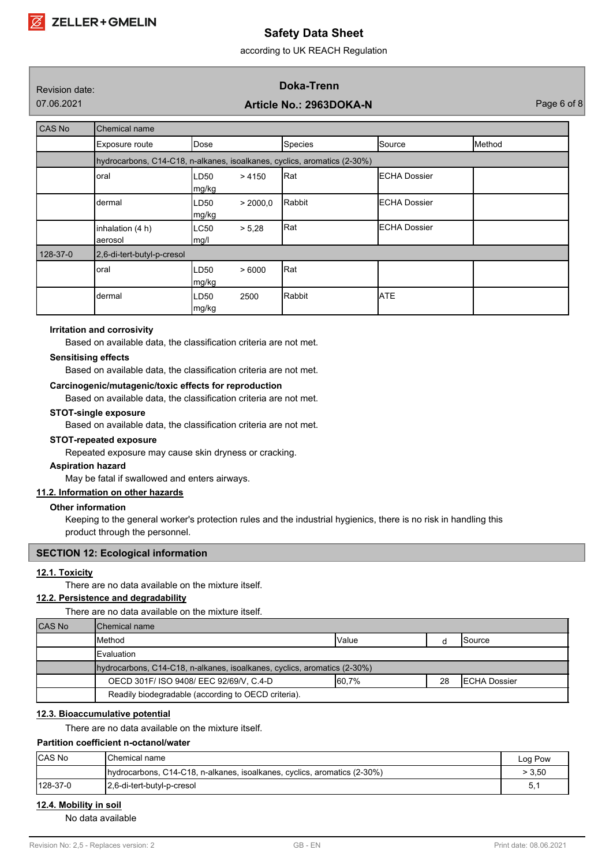according to UK REACH Regulation

# Revision date: **Doka-Trenn**

# 07.06.2021 **Article No.: 2963DOKA-N** Page 6 of 8

| CAS No   | Chemical name                                                            |                           |          |                |                      |        |
|----------|--------------------------------------------------------------------------|---------------------------|----------|----------------|----------------------|--------|
|          | Exposure route                                                           | Dose                      |          | <b>Species</b> | Source               | Method |
|          | hydrocarbons, C14-C18, n-alkanes, isoalkanes, cyclics, aromatics (2-30%) |                           |          |                |                      |        |
|          | oral                                                                     | LD <sub>50</sub><br>mg/kg | >4150    | Rat            | <b>IECHA Dossier</b> |        |
|          | dermal                                                                   | LD50<br>mg/kg             | > 2000.0 | Rabbit         | <b>ECHA Dossier</b>  |        |
|          | inhalation (4 h)<br>aerosol                                              | ILC50<br>mg/l             | > 5,28   | Rat            | <b>ECHA Dossier</b>  |        |
| 128-37-0 | 2,6-di-tert-butyl-p-cresol                                               |                           |          |                |                      |        |
|          | oral                                                                     | LD <sub>50</sub><br>mg/kg | >6000    | Rat            |                      |        |
|          | dermal                                                                   | LD <sub>50</sub><br>mg/kg | 2500     | Rabbit         | <b>ATE</b>           |        |

# **Irritation and corrosivity**

Based on available data, the classification criteria are not met.

#### **Sensitising effects**

Based on available data, the classification criteria are not met.

#### **Carcinogenic/mutagenic/toxic effects for reproduction**

Based on available data, the classification criteria are not met.

#### **STOT-single exposure**

Based on available data, the classification criteria are not met.

#### **STOT-repeated exposure**

Repeated exposure may cause skin dryness or cracking.

### **Aspiration hazard**

May be fatal if swallowed and enters airways.

# **11.2. Information on other hazards**

#### **Other information**

Keeping to the general worker's protection rules and the industrial hygienics, there is no risk in handling this product through the personnel.

#### **SECTION 12: Ecological information**

#### **12.1. Toxicity**

There are no data available on the mixture itself.

# **12.2. Persistence and degradability**

There are no data available on the mixture itself.

| <b>CAS No</b> | Chemical name                                                                    |        |    |                      |  |
|---------------|----------------------------------------------------------------------------------|--------|----|----------------------|--|
|               | <b>I</b> Method                                                                  | Value  |    | <b>I</b> Source      |  |
|               | <b>I</b> Evaluation                                                              |        |    |                      |  |
|               | (2-30%) hydrocarbons, C14-C18, n-alkanes, isoalkanes, cyclics, aromatics (2-30%) |        |    |                      |  |
|               | OECD 301F/ ISO 9408/ EEC 92/69/V, C.4-D                                          | 160,7% | 28 | <b>IECHA Dossier</b> |  |
|               | Readily biodegradable (according to OECD criteria).                              |        |    |                      |  |

### **12.3. Bioaccumulative potential**

There are no data available on the mixture itself.

# **Partition coefficient n-octanol/water**

| <b>CAS No</b> | IChemical name                                                                   | Log Pow |
|---------------|----------------------------------------------------------------------------------|---------|
|               | (2-30%) hydrocarbons, C14-C18, n-alkanes, isoalkanes, cyclics, aromatics (2-30%) | > 3.50  |
| $128-37-0$    | 12,6-di-tert-butyl-p-cresol                                                      | h<br>U. |

# **12.4. Mobility in soil**

No data available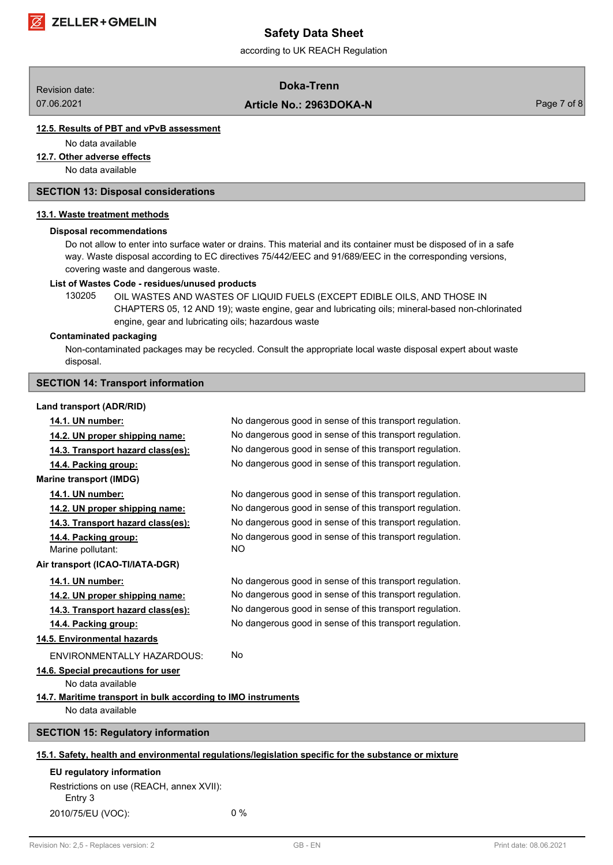

according to UK REACH Regulation

# Revision date: **Doka-Trenn**

07.06.2021 **Article No.: 2963DOKA-N** Page 7 of 8

# **12.5. Results of PBT and vPvB assessment**

No data available

**12.7. Other adverse effects**

No data available

# **SECTION 13: Disposal considerations**

#### **13.1. Waste treatment methods**

#### **Disposal recommendations**

Do not allow to enter into surface water or drains. This material and its container must be disposed of in a safe way. Waste disposal according to EC directives 75/442/EEC and 91/689/EEC in the corresponding versions, covering waste and dangerous waste.

#### **List of Wastes Code - residues/unused products**

130205 OIL WASTES AND WASTES OF LIQUID FUELS (EXCEPT EDIBLE OILS, AND THOSE IN CHAPTERS 05, 12 AND 19); waste engine, gear and lubricating oils; mineral-based non-chlorinated engine, gear and lubricating oils; hazardous waste

#### **Contaminated packaging**

Non-contaminated packages may be recycled. Consult the appropriate local waste disposal expert about waste disposal.

# **SECTION 14: Transport information**

#### **Land transport (ADR/RID)**

| No dangerous good in sense of this transport regulation.                                             |  |  |  |  |  |  |
|------------------------------------------------------------------------------------------------------|--|--|--|--|--|--|
| No dangerous good in sense of this transport regulation.                                             |  |  |  |  |  |  |
| No dangerous good in sense of this transport regulation.                                             |  |  |  |  |  |  |
| No dangerous good in sense of this transport regulation.                                             |  |  |  |  |  |  |
|                                                                                                      |  |  |  |  |  |  |
| No dangerous good in sense of this transport regulation.                                             |  |  |  |  |  |  |
| No dangerous good in sense of this transport regulation.                                             |  |  |  |  |  |  |
| No dangerous good in sense of this transport regulation.                                             |  |  |  |  |  |  |
| No dangerous good in sense of this transport regulation.<br><b>NO</b>                                |  |  |  |  |  |  |
| Air transport (ICAO-TI/IATA-DGR)                                                                     |  |  |  |  |  |  |
| No dangerous good in sense of this transport regulation.                                             |  |  |  |  |  |  |
| No dangerous good in sense of this transport regulation.                                             |  |  |  |  |  |  |
| No dangerous good in sense of this transport regulation.                                             |  |  |  |  |  |  |
| No dangerous good in sense of this transport regulation.                                             |  |  |  |  |  |  |
|                                                                                                      |  |  |  |  |  |  |
| <b>No</b>                                                                                            |  |  |  |  |  |  |
| 14.6. Special precautions for user<br>No data available                                              |  |  |  |  |  |  |
| 14.7. Maritime transport in bulk according to IMO instruments                                        |  |  |  |  |  |  |
|                                                                                                      |  |  |  |  |  |  |
| <b>SECTION 15: Regulatory information</b>                                                            |  |  |  |  |  |  |
| 15.1. Safety, health and environmental regulations/legislation specific for the substance or mixture |  |  |  |  |  |  |
| EU regulatory information                                                                            |  |  |  |  |  |  |
| Restrictions on use (REACH, annex XVII):                                                             |  |  |  |  |  |  |
|                                                                                                      |  |  |  |  |  |  |

2010/75/EU (VOC): 0 %

Entry 3